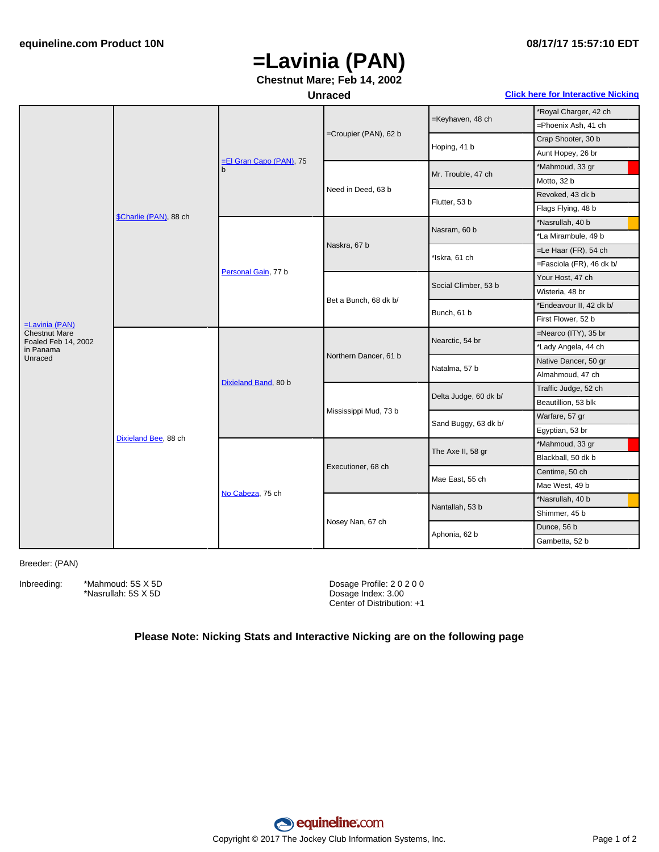# **=Lavinia (PAN)**

## **Chestnut Mare; Feb 14, 2002**

### **Unraced Click here for [Interactive](#page-1-0) Nicking**

|                                             | \$Charlie (PAN), 88 ch | El Gran Capo (PAN), 75<br>b | =Croupier (PAN), 62 b | =Keyhaven, 48 ch      | *Royal Charger, 42 ch    |
|---------------------------------------------|------------------------|-----------------------------|-----------------------|-----------------------|--------------------------|
|                                             |                        |                             |                       |                       | =Phoenix Ash, 41 ch      |
|                                             |                        |                             |                       | Hoping, 41 b          | Crap Shooter, 30 b       |
|                                             |                        |                             |                       |                       | Aunt Hopey, 26 br        |
|                                             |                        |                             | Need in Deed, 63 b    | Mr. Trouble, 47 ch    | *Mahmoud, 33 gr          |
|                                             |                        |                             |                       |                       | Motto, 32 b              |
|                                             |                        |                             |                       | Flutter, 53 b         | Revoked, 43 dk b         |
|                                             |                        |                             |                       |                       | Flags Flying, 48 b       |
|                                             |                        | Personal Gain, 77 b         | Naskra, 67 b          | Nasram, 60 b          | *Nasrullah, 40 b         |
|                                             |                        |                             |                       |                       | *La Mirambule, 49 b      |
|                                             |                        |                             |                       | *Iskra, 61 ch         | =Le Haar (FR), 54 ch     |
|                                             |                        |                             |                       |                       | =Fasciola (FR), 46 dk b/ |
|                                             |                        |                             | Bet a Bunch, 68 dk b/ | Social Climber, 53 b  | Your Host, 47 ch         |
|                                             |                        |                             |                       |                       | Wisteria, 48 br          |
|                                             |                        |                             |                       | Bunch, 61 b           | *Endeavour II, 42 dk b/  |
| $=$ Lavinia (PAN)                           |                        |                             |                       |                       | First Flower, 52 b       |
| <b>Chestnut Mare</b><br>Foaled Feb 14, 2002 | Dixieland Bee, 88 ch   | Dixieland Band, 80 b        | Northern Dancer, 61 b | Nearctic, 54 br       | =Nearco (ITY), 35 br     |
| in Panama                                   |                        |                             |                       |                       | *Lady Angela, 44 ch      |
| Unraced                                     |                        |                             |                       | Natalma, 57 b         | Native Dancer, 50 gr     |
|                                             |                        |                             |                       |                       | Almahmoud, 47 ch         |
|                                             |                        |                             | Mississippi Mud, 73 b | Delta Judge, 60 dk b/ | Traffic Judge, 52 ch     |
|                                             |                        |                             |                       |                       | Beautillion, 53 blk      |
|                                             |                        |                             |                       | Sand Buggy, 63 dk b/  | Warfare, 57 gr           |
|                                             |                        |                             |                       |                       | Egyptian, 53 br          |
|                                             |                        | No Cabeza, 75 ch            | Executioner, 68 ch    | The Axe II, 58 gr     | *Mahmoud, 33 gr          |
|                                             |                        |                             |                       |                       | Blackball, 50 dk b       |
|                                             |                        |                             |                       | Mae East, 55 ch       | Centime, 50 ch           |
|                                             |                        |                             |                       |                       | Mae West, 49 b           |
|                                             |                        |                             | Nosey Nan, 67 ch      | Nantallah, 53 b       | *Nasrullah, 40 b         |
|                                             |                        |                             |                       |                       | Shimmer, 45 b            |
|                                             |                        |                             |                       | Aphonia, 62 b         | Dunce, 56 b              |
|                                             |                        |                             |                       |                       | Gambetta, 52 b           |

#### Breeder: (PAN)

Inbreeding: \*Mahmoud: 5S X 5D \*Nasrullah: 5S X 5D

Dosage Profile: 2 0 2 0 0 Dosage Index: 3.00 Center of Distribution: +1

### **Please Note: Nicking Stats and Interactive Nicking are on the following page**